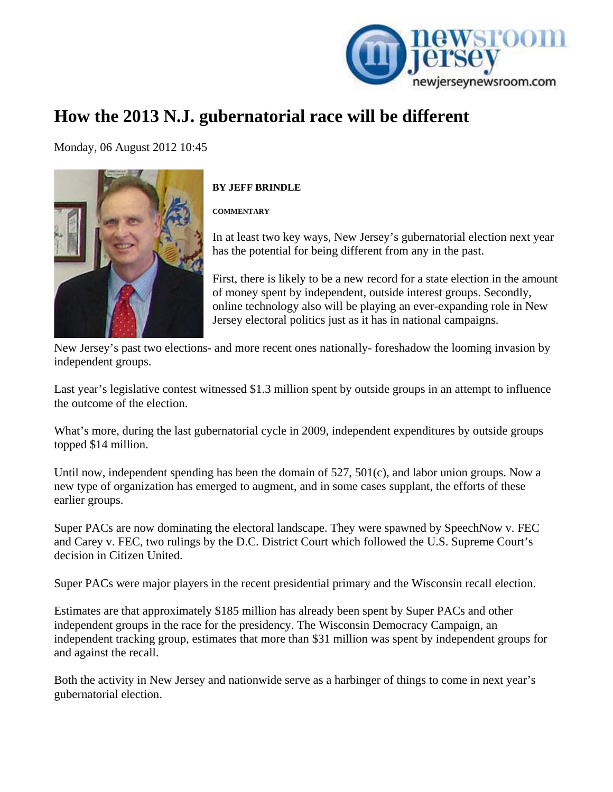

## **How the 2013 N.J. gubernatorial race will be different**

[Mo](http://www.newjerseynewsroom.com/commentary/how-the-2013-nj-gubernatorial-race-will-be-different/print)nday, 06 August 2012 10:45



## **BY JEFF BRINDLE**

**COMMENTARY** 

In at least two key ways, New Jersey's gubernatorial election next year has the potential for being different from any in the past.

First, there is likely to be a new record for a state election in the amount of money spent by independent, outside interest groups. Secondly, online technology also will be playing an ever-expanding role in New Jersey electoral politics just as it has in national campaigns.

New Jersey's past two elections- and more recent ones nationally- foreshadow the looming invasion by independent groups.

Last year's legislative contest witnessed \$1.3 million spent by outside groups in an attempt to influence the outcome of the election.

What's more, during the last gubernatorial cycle in 2009, independent expenditures by outside groups topped \$14 million.

Until now, independent spending has been the domain of 527, 501(c), and labor union groups. Now a new type of organization has emerged to augment, and in some cases supplant, the efforts of these earlier groups.

Super PACs are now dominating the electoral landscape. They were spawned by SpeechNow v. FEC and Carey v. FEC, two rulings by the D.C. District Court which followed the U.S. Supreme Court's decision in Citizen United.

Super PACs were major players in the recent presidential primary and the Wisconsin recall election.

Estimates are that approximately \$185 million has already been spent by Super PACs and other independent groups in the race for the presidency. The Wisconsin Democracy Campaign, an independent tracking group, estimates that more than \$31 million was spent by independent groups for and against the recall.

Both the activity in New Jersey and nationwide serve as a harbinger of things to come in next year's gubernatorial election.